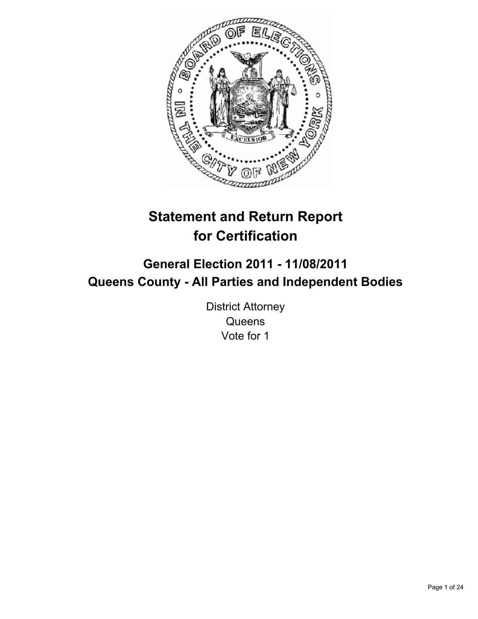

# **Statement and Return Report for Certification**

## **General Election 2011 - 11/08/2011 Queens County - All Parties and Independent Bodies**

District Attorney **Queens** Vote for 1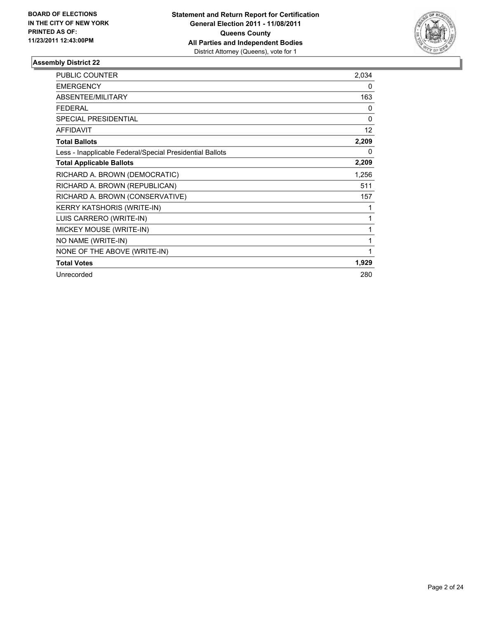

| <b>PUBLIC COUNTER</b>                                    | 2,034    |
|----------------------------------------------------------|----------|
| <b>EMERGENCY</b>                                         | 0        |
| <b>ABSENTEE/MILITARY</b>                                 | 163      |
| <b>FEDERAL</b>                                           | 0        |
| <b>SPECIAL PRESIDENTIAL</b>                              | $\Omega$ |
| <b>AFFIDAVIT</b>                                         | 12       |
| <b>Total Ballots</b>                                     | 2,209    |
| Less - Inapplicable Federal/Special Presidential Ballots | $\Omega$ |
| <b>Total Applicable Ballots</b>                          | 2,209    |
| RICHARD A. BROWN (DEMOCRATIC)                            | 1,256    |
| RICHARD A. BROWN (REPUBLICAN)                            | 511      |
| RICHARD A. BROWN (CONSERVATIVE)                          | 157      |
| <b>KERRY KATSHORIS (WRITE-IN)</b>                        |          |
| LUIS CARRERO (WRITE-IN)                                  | 1        |
| MICKEY MOUSE (WRITE-IN)                                  | 1        |
| NO NAME (WRITE-IN)                                       | 1        |
| NONE OF THE ABOVE (WRITE-IN)                             | 1        |
| <b>Total Votes</b>                                       | 1,929    |
| Unrecorded                                               | 280      |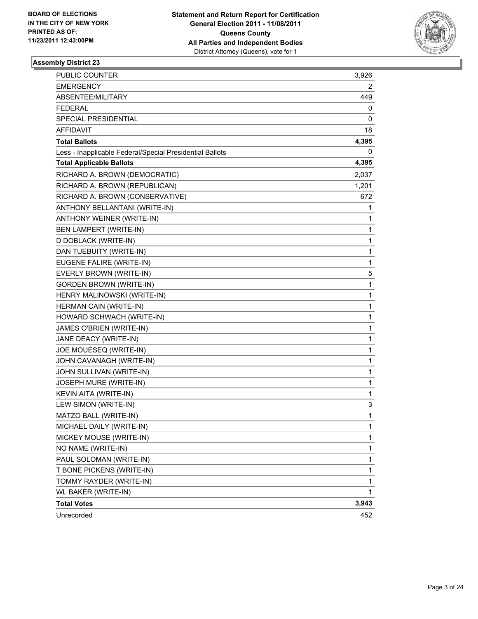

| <b>PUBLIC COUNTER</b>                                    | 3,926 |
|----------------------------------------------------------|-------|
| <b>EMERGENCY</b>                                         | 2     |
| ABSENTEE/MILITARY                                        | 449   |
| <b>FEDERAL</b>                                           | 0     |
| <b>SPECIAL PRESIDENTIAL</b>                              | 0     |
| <b>AFFIDAVIT</b>                                         | 18    |
| <b>Total Ballots</b>                                     | 4,395 |
| Less - Inapplicable Federal/Special Presidential Ballots | 0     |
| <b>Total Applicable Ballots</b>                          | 4,395 |
| RICHARD A. BROWN (DEMOCRATIC)                            | 2,037 |
| RICHARD A. BROWN (REPUBLICAN)                            | 1,201 |
| RICHARD A. BROWN (CONSERVATIVE)                          | 672   |
| ANTHONY BELLANTANI (WRITE-IN)                            | 1     |
| ANTHONY WEINER (WRITE-IN)                                | 1     |
| BEN LAMPERT (WRITE-IN)                                   | 1     |
| D DOBLACK (WRITE-IN)                                     | 1     |
| DAN TUEBUITY (WRITE-IN)                                  | 1     |
| EUGENE FALIRE (WRITE-IN)                                 | 1     |
| EVERLY BROWN (WRITE-IN)                                  | 5     |
| <b>GORDEN BROWN (WRITE-IN)</b>                           | 1     |
| HENRY MALINOWSKI (WRITE-IN)                              | 1     |
| HERMAN CAIN (WRITE-IN)                                   | 1     |
| HOWARD SCHWACH (WRITE-IN)                                | 1     |
| JAMES O'BRIEN (WRITE-IN)                                 | 1     |
| JANE DEACY (WRITE-IN)                                    | 1     |
| JOE MOUESEQ (WRITE-IN)                                   | 1     |
| JOHN CAVANAGH (WRITE-IN)                                 | 1     |
| JOHN SULLIVAN (WRITE-IN)                                 | 1     |
| JOSEPH MURE (WRITE-IN)                                   | 1     |
| <b>KEVIN AITA (WRITE-IN)</b>                             | 1     |
| LEW SIMON (WRITE-IN)                                     | 3     |
| MATZO BALL (WRITE-IN)                                    | 1     |
| MICHAEL DAILY (WRITE-IN)                                 | 1     |
| MICKEY MOUSE (WRITE-IN)                                  | 1     |
| NO NAME (WRITE-IN)                                       | 1     |
| PAUL SOLOMAN (WRITE-IN)                                  | 1     |
| T BONE PICKENS (WRITE-IN)                                | 1     |
| TOMMY RAYDER (WRITE-IN)                                  | 1     |
| WL BAKER (WRITE-IN)                                      | 1     |
| <b>Total Votes</b>                                       | 3,943 |
| Unrecorded                                               | 452   |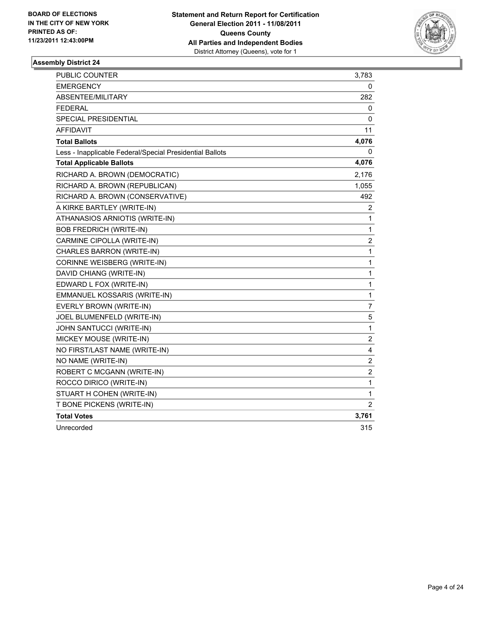

| PUBLIC COUNTER                                           | 3,783          |
|----------------------------------------------------------|----------------|
| <b>EMERGENCY</b>                                         | 0              |
| ABSENTEE/MILITARY                                        | 282            |
| <b>FEDERAL</b>                                           | 0              |
| <b>SPECIAL PRESIDENTIAL</b>                              | 0              |
| <b>AFFIDAVIT</b>                                         | 11             |
| <b>Total Ballots</b>                                     | 4,076          |
| Less - Inapplicable Federal/Special Presidential Ballots | 0              |
| <b>Total Applicable Ballots</b>                          | 4,076          |
| RICHARD A. BROWN (DEMOCRATIC)                            | 2,176          |
| RICHARD A. BROWN (REPUBLICAN)                            | 1,055          |
| RICHARD A. BROWN (CONSERVATIVE)                          | 492            |
| A KIRKE BARTLEY (WRITE-IN)                               | 2              |
| ATHANASIOS ARNIOTIS (WRITE-IN)                           | 1              |
| <b>BOB FREDRICH (WRITE-IN)</b>                           | 1              |
| CARMINE CIPOLLA (WRITE-IN)                               | $\overline{c}$ |
| CHARLES BARRON (WRITE-IN)                                | 1              |
| CORINNE WEISBERG (WRITE-IN)                              | 1              |
| DAVID CHIANG (WRITE-IN)                                  | 1              |
| EDWARD L FOX (WRITE-IN)                                  | $\mathbf{1}$   |
| EMMANUEL KOSSARIS (WRITE-IN)                             | 1              |
| EVERLY BROWN (WRITE-IN)                                  | 7              |
| JOEL BLUMENFELD (WRITE-IN)                               | 5              |
| JOHN SANTUCCI (WRITE-IN)                                 | $\mathbf 1$    |
| MICKEY MOUSE (WRITE-IN)                                  | $\overline{c}$ |
| NO FIRST/LAST NAME (WRITE-IN)                            | 4              |
| NO NAME (WRITE-IN)                                       | $\overline{2}$ |
| ROBERT C MCGANN (WRITE-IN)                               | $\overline{c}$ |
| ROCCO DIRICO (WRITE-IN)                                  | 1              |
| STUART H COHEN (WRITE-IN)                                | 1              |
| T BONE PICKENS (WRITE-IN)                                | $\overline{2}$ |
| <b>Total Votes</b>                                       | 3,761          |
| Unrecorded                                               | 315            |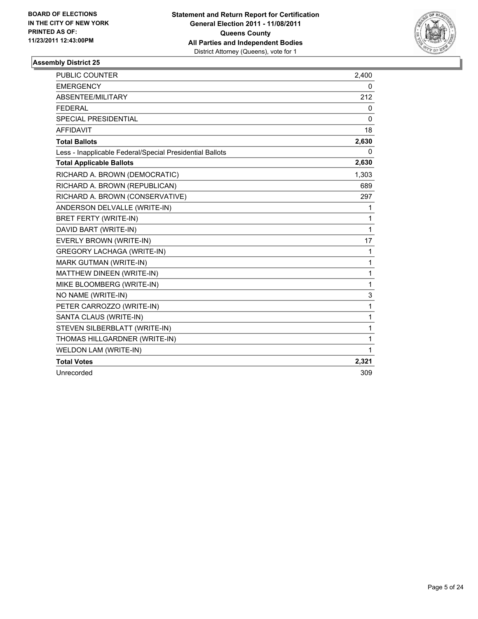

| <b>PUBLIC COUNTER</b>                                    | 2,400        |
|----------------------------------------------------------|--------------|
| <b>EMERGENCY</b>                                         | 0            |
| ABSENTEE/MILITARY                                        | 212          |
| <b>FEDERAL</b>                                           | 0            |
| SPECIAL PRESIDENTIAL                                     | $\mathbf{0}$ |
| <b>AFFIDAVIT</b>                                         | 18           |
| <b>Total Ballots</b>                                     | 2,630        |
| Less - Inapplicable Federal/Special Presidential Ballots | 0            |
| <b>Total Applicable Ballots</b>                          | 2,630        |
| RICHARD A. BROWN (DEMOCRATIC)                            | 1,303        |
| RICHARD A. BROWN (REPUBLICAN)                            | 689          |
| RICHARD A. BROWN (CONSERVATIVE)                          | 297          |
| ANDERSON DELVALLE (WRITE-IN)                             | 1            |
| <b>BRET FERTY (WRITE-IN)</b>                             | 1            |
| DAVID BART (WRITE-IN)                                    | 1            |
| EVERLY BROWN (WRITE-IN)                                  | 17           |
| <b>GREGORY LACHAGA (WRITE-IN)</b>                        | 1            |
| <b>MARK GUTMAN (WRITE-IN)</b>                            | 1            |
| MATTHEW DINEEN (WRITE-IN)                                | 1            |
| MIKE BLOOMBERG (WRITE-IN)                                | 1            |
| NO NAME (WRITE-IN)                                       | 3            |
| PETER CARROZZO (WRITE-IN)                                | $\mathbf{1}$ |
| SANTA CLAUS (WRITE-IN)                                   | 1            |
| STEVEN SILBERBLATT (WRITE-IN)                            | 1            |
| THOMAS HILLGARDNER (WRITE-IN)                            | 1            |
| WELDON LAM (WRITE-IN)                                    | $\mathbf{1}$ |
| <b>Total Votes</b>                                       | 2,321        |
| Unrecorded                                               | 309          |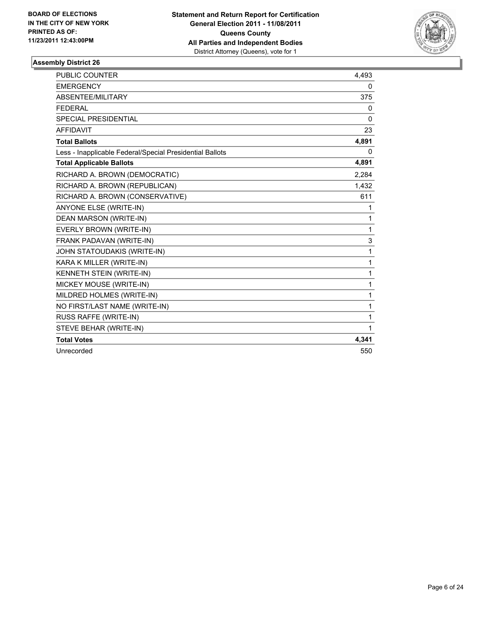

| <b>PUBLIC COUNTER</b>                                    | 4,493 |
|----------------------------------------------------------|-------|
| <b>EMERGENCY</b>                                         | 0     |
| ABSENTEE/MILITARY                                        | 375   |
| <b>FEDERAL</b>                                           | 0     |
| SPECIAL PRESIDENTIAL                                     | 0     |
| <b>AFFIDAVIT</b>                                         | 23    |
| <b>Total Ballots</b>                                     | 4,891 |
| Less - Inapplicable Federal/Special Presidential Ballots | 0     |
| <b>Total Applicable Ballots</b>                          | 4,891 |
| RICHARD A. BROWN (DEMOCRATIC)                            | 2.284 |
| RICHARD A. BROWN (REPUBLICAN)                            | 1,432 |
| RICHARD A. BROWN (CONSERVATIVE)                          | 611   |
| <b>ANYONE ELSE (WRITE-IN)</b>                            | 1     |
| <b>DEAN MARSON (WRITE-IN)</b>                            | 1     |
| EVERLY BROWN (WRITE-IN)                                  | 1     |
| FRANK PADAVAN (WRITE-IN)                                 | 3     |
| JOHN STATOUDAKIS (WRITE-IN)                              | 1     |
| KARA K MILLER (WRITE-IN)                                 | 1     |
| KENNETH STEIN (WRITE-IN)                                 | 1     |
| MICKEY MOUSE (WRITE-IN)                                  | 1     |
| MILDRED HOLMES (WRITE-IN)                                | 1     |
| NO FIRST/LAST NAME (WRITE-IN)                            | 1     |
| RUSS RAFFE (WRITE-IN)                                    | 1     |
| STEVE BEHAR (WRITE-IN)                                   | 1     |
| <b>Total Votes</b>                                       | 4,341 |
| Unrecorded                                               | 550   |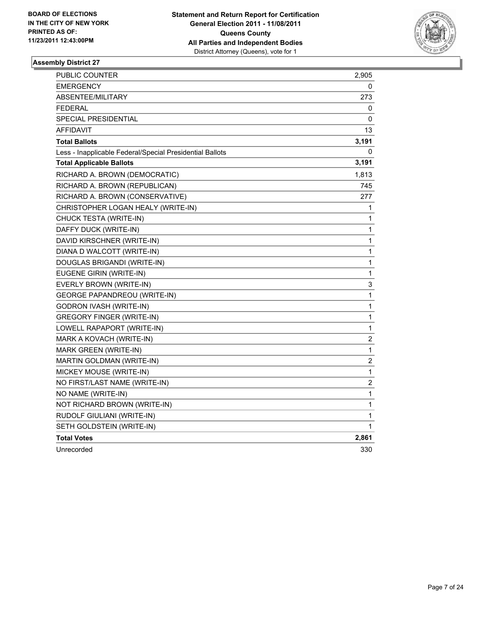

| PUBLIC COUNTER                                           | 2,905          |
|----------------------------------------------------------|----------------|
| <b>EMERGENCY</b>                                         | 0              |
| ABSENTEE/MILITARY                                        | 273            |
| <b>FEDERAL</b>                                           | 0              |
| <b>SPECIAL PRESIDENTIAL</b>                              | 0              |
| <b>AFFIDAVIT</b>                                         | 13             |
| <b>Total Ballots</b>                                     | 3,191          |
| Less - Inapplicable Federal/Special Presidential Ballots | 0              |
| <b>Total Applicable Ballots</b>                          | 3,191          |
| RICHARD A. BROWN (DEMOCRATIC)                            | 1,813          |
| RICHARD A. BROWN (REPUBLICAN)                            | 745            |
| RICHARD A. BROWN (CONSERVATIVE)                          | 277            |
| CHRISTOPHER LOGAN HEALY (WRITE-IN)                       | 1              |
| CHUCK TESTA (WRITE-IN)                                   | 1              |
| DAFFY DUCK (WRITE-IN)                                    | $\mathbf{1}$   |
| DAVID KIRSCHNER (WRITE-IN)                               | 1              |
| DIANA D WALCOTT (WRITE-IN)                               | 1              |
| DOUGLAS BRIGANDI (WRITE-IN)                              | 1              |
| EUGENE GIRIN (WRITE-IN)                                  | 1              |
| EVERLY BROWN (WRITE-IN)                                  | 3              |
| <b>GEORGE PAPANDREOU (WRITE-IN)</b>                      | 1              |
| <b>GODRON IVASH (WRITE-IN)</b>                           | 1              |
| <b>GREGORY FINGER (WRITE-IN)</b>                         | 1              |
| LOWELL RAPAPORT (WRITE-IN)                               | 1              |
| MARK A KOVACH (WRITE-IN)                                 | $\overline{c}$ |
| MARK GREEN (WRITE-IN)                                    | 1              |
| MARTIN GOLDMAN (WRITE-IN)                                | 2              |
| MICKEY MOUSE (WRITE-IN)                                  | 1              |
| NO FIRST/LAST NAME (WRITE-IN)                            | 2              |
| NO NAME (WRITE-IN)                                       | $\mathbf 1$    |
| NOT RICHARD BROWN (WRITE-IN)                             | 1              |
| RUDOLF GIULIANI (WRITE-IN)                               | 1              |
| SETH GOLDSTEIN (WRITE-IN)                                | 1              |
| <b>Total Votes</b>                                       | 2,861          |
| Unrecorded                                               | 330            |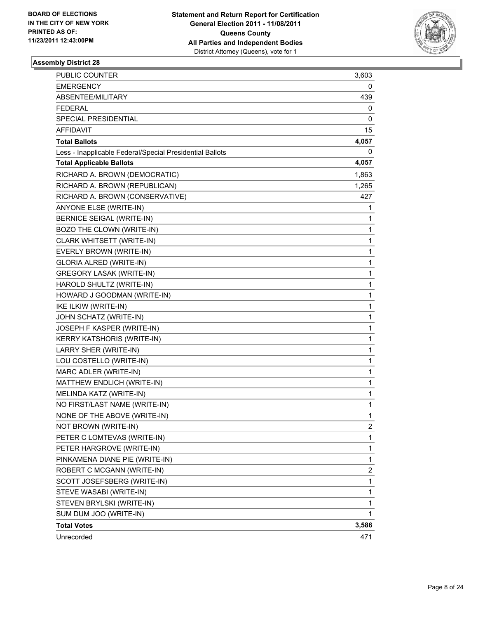

| <b>PUBLIC COUNTER</b>                                    | 3,603 |
|----------------------------------------------------------|-------|
| EMERGENCY                                                | 0     |
| ABSENTEE/MILITARY                                        | 439   |
| FEDERAL                                                  | 0     |
| SPECIAL PRESIDENTIAL                                     | 0     |
| <b>AFFIDAVIT</b>                                         | 15    |
| <b>Total Ballots</b>                                     | 4,057 |
| Less - Inapplicable Federal/Special Presidential Ballots | 0     |
| <b>Total Applicable Ballots</b>                          | 4,057 |
| RICHARD A. BROWN (DEMOCRATIC)                            | 1,863 |
| RICHARD A. BROWN (REPUBLICAN)                            | 1,265 |
| RICHARD A. BROWN (CONSERVATIVE)                          | 427   |
| ANYONE ELSE (WRITE-IN)                                   | 1     |
| <b>BERNICE SEIGAL (WRITE-IN)</b>                         | 1     |
| BOZO THE CLOWN (WRITE-IN)                                | 1     |
| CLARK WHITSETT (WRITE-IN)                                | 1     |
| EVERLY BROWN (WRITE-IN)                                  | 1     |
| <b>GLORIA ALRED (WRITE-IN)</b>                           | 1     |
| <b>GREGORY LASAK (WRITE-IN)</b>                          | 1     |
| HAROLD SHULTZ (WRITE-IN)                                 | 1     |
| HOWARD J GOODMAN (WRITE-IN)                              | 1     |
| IKE ILKIW (WRITE-IN)                                     | 1     |
| JOHN SCHATZ (WRITE-IN)                                   | 1     |
| JOSEPH F KASPER (WRITE-IN)                               | 1     |
| KERRY KATSHORIS (WRITE-IN)                               | 1     |
| LARRY SHER (WRITE-IN)                                    | 1     |
| LOU COSTELLO (WRITE-IN)                                  | 1     |
| MARC ADLER (WRITE-IN)                                    | 1     |
| MATTHEW ENDLICH (WRITE-IN)                               | 1     |
| MELINDA KATZ (WRITE-IN)                                  | 1     |
| NO FIRST/LAST NAME (WRITE-IN)                            | 1     |
| NONE OF THE ABOVE (WRITE-IN)                             | 1     |
| NOT BROWN (WRITE-IN)                                     | 2     |
| PETER C LOMTEVAS (WRITE-IN)                              | 1     |
| PETER HARGROVE (WRITE-IN)                                | 1     |
| PINKAMENA DIANE PIE (WRITE-IN)                           | 1     |
| ROBERT C MCGANN (WRITE-IN)                               | 2     |
| SCOTT JOSEFSBERG (WRITE-IN)                              | 1     |
| STEVE WASABI (WRITE-IN)                                  | 1     |
| STEVEN BRYLSKI (WRITE-IN)                                | 1     |
| SUM DUM JOO (WRITE-IN)                                   | 1     |
| <b>Total Votes</b>                                       | 3,586 |
| Unrecorded                                               | 471   |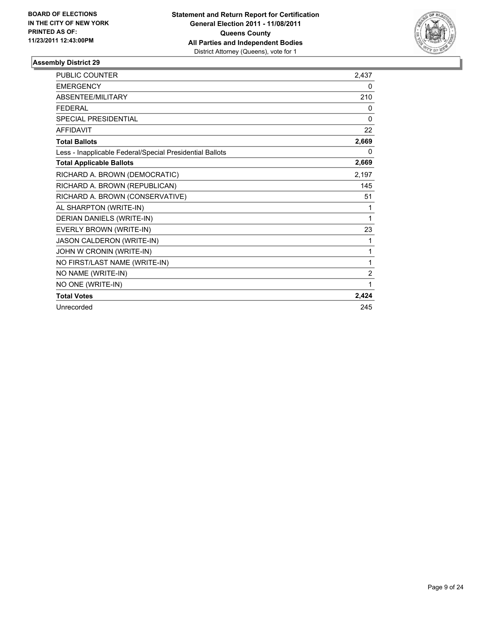

| PUBLIC COUNTER                                           | 2,437    |
|----------------------------------------------------------|----------|
| <b>EMERGENCY</b>                                         | 0        |
| ABSENTEE/MILITARY                                        | 210      |
| <b>FEDERAL</b>                                           | 0        |
| <b>SPECIAL PRESIDENTIAL</b>                              | $\Omega$ |
| <b>AFFIDAVIT</b>                                         | 22       |
| <b>Total Ballots</b>                                     | 2,669    |
| Less - Inapplicable Federal/Special Presidential Ballots | 0        |
| <b>Total Applicable Ballots</b>                          | 2,669    |
| RICHARD A. BROWN (DEMOCRATIC)                            | 2,197    |
| RICHARD A. BROWN (REPUBLICAN)                            | 145      |
| RICHARD A. BROWN (CONSERVATIVE)                          | 51       |
| AL SHARPTON (WRITE-IN)                                   | 1        |
| DERIAN DANIELS (WRITE-IN)                                | 1        |
| EVERLY BROWN (WRITE-IN)                                  | 23       |
| JASON CALDERON (WRITE-IN)                                | 1        |
| JOHN W CRONIN (WRITE-IN)                                 | 1        |
| NO FIRST/LAST NAME (WRITE-IN)                            | 1        |
| NO NAME (WRITE-IN)                                       | 2        |
| NO ONE (WRITE-IN)                                        | 1        |
| <b>Total Votes</b>                                       | 2,424    |
| Unrecorded                                               | 245      |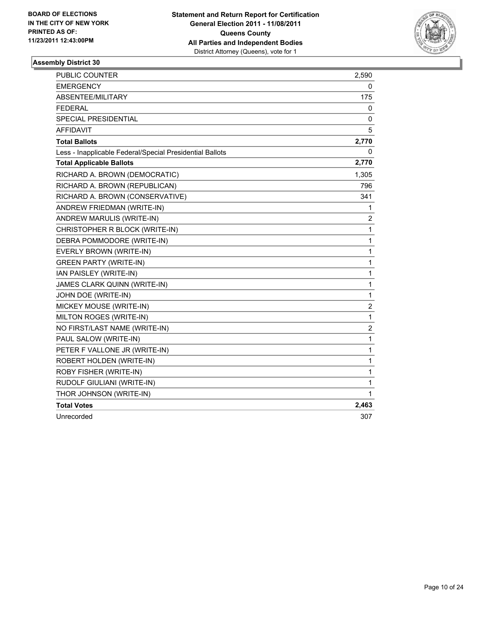

| <b>PUBLIC COUNTER</b>                                    | 2,590          |
|----------------------------------------------------------|----------------|
| <b>EMERGENCY</b>                                         | 0              |
| ABSENTEE/MILITARY                                        | 175            |
| <b>FEDERAL</b>                                           | 0              |
| <b>SPECIAL PRESIDENTIAL</b>                              | 0              |
| <b>AFFIDAVIT</b>                                         | 5              |
| <b>Total Ballots</b>                                     | 2,770          |
| Less - Inapplicable Federal/Special Presidential Ballots | 0              |
| <b>Total Applicable Ballots</b>                          | 2,770          |
| RICHARD A. BROWN (DEMOCRATIC)                            | 1,305          |
| RICHARD A. BROWN (REPUBLICAN)                            | 796            |
| RICHARD A. BROWN (CONSERVATIVE)                          | 341            |
| ANDREW FRIEDMAN (WRITE-IN)                               | 1              |
| ANDREW MARULIS (WRITE-IN)                                | 2              |
| CHRISTOPHER R BLOCK (WRITE-IN)                           | 1              |
| DEBRA POMMODORE (WRITE-IN)                               | 1              |
| EVERLY BROWN (WRITE-IN)                                  | 1              |
| <b>GREEN PARTY (WRITE-IN)</b>                            | 1              |
| IAN PAISLEY (WRITE-IN)                                   | 1              |
| JAMES CLARK QUINN (WRITE-IN)                             | 1              |
| JOHN DOE (WRITE-IN)                                      | 1              |
| MICKEY MOUSE (WRITE-IN)                                  | $\overline{2}$ |
| MILTON ROGES (WRITE-IN)                                  | $\mathbf{1}$   |
| NO FIRST/LAST NAME (WRITE-IN)                            | 2              |
| PAUL SALOW (WRITE-IN)                                    | 1              |
| PETER F VALLONE JR (WRITE-IN)                            | 1              |
| ROBERT HOLDEN (WRITE-IN)                                 | 1              |
| ROBY FISHER (WRITE-IN)                                   | 1              |
| RUDOLF GIULIANI (WRITE-IN)                               | 1              |
| THOR JOHNSON (WRITE-IN)                                  | 1              |
| <b>Total Votes</b>                                       | 2,463          |
| Unrecorded                                               | 307            |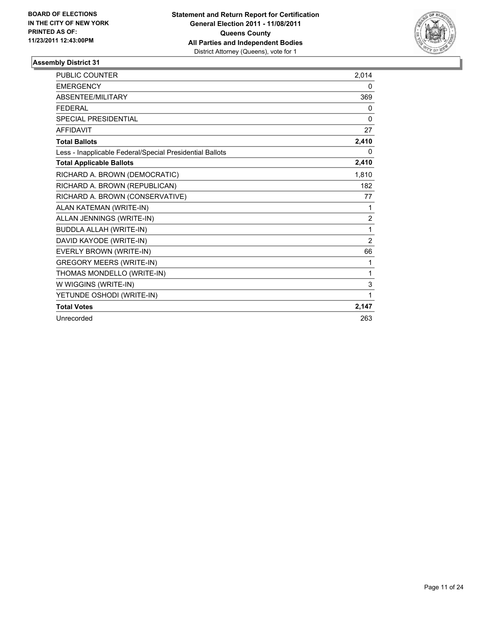

| <b>PUBLIC COUNTER</b>                                    | 2,014          |
|----------------------------------------------------------|----------------|
| <b>EMERGENCY</b>                                         | 0              |
| ABSENTEE/MILITARY                                        | 369            |
| <b>FEDERAL</b>                                           | 0              |
| <b>SPECIAL PRESIDENTIAL</b>                              | 0              |
| <b>AFFIDAVIT</b>                                         | 27             |
| <b>Total Ballots</b>                                     | 2,410          |
| Less - Inapplicable Federal/Special Presidential Ballots | 0              |
| <b>Total Applicable Ballots</b>                          | 2,410          |
| RICHARD A. BROWN (DEMOCRATIC)                            | 1,810          |
| RICHARD A. BROWN (REPUBLICAN)                            | 182            |
| RICHARD A. BROWN (CONSERVATIVE)                          | 77             |
| ALAN KATEMAN (WRITE-IN)                                  | 1              |
| ALLAN JENNINGS (WRITE-IN)                                | $\overline{2}$ |
| <b>BUDDLA ALLAH (WRITE-IN)</b>                           | 1              |
| DAVID KAYODE (WRITE-IN)                                  | $\overline{2}$ |
| EVERLY BROWN (WRITE-IN)                                  | 66             |
| <b>GREGORY MEERS (WRITE-IN)</b>                          | 1              |
| THOMAS MONDELLO (WRITE-IN)                               | 1              |
| W WIGGINS (WRITE-IN)                                     | 3              |
| YETUNDE OSHODI (WRITE-IN)                                | 1              |
| <b>Total Votes</b>                                       | 2,147          |
| Unrecorded                                               | 263            |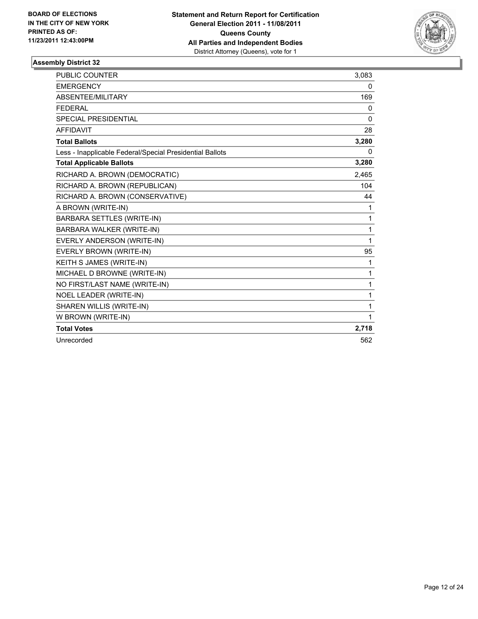

| <b>PUBLIC COUNTER</b>                                    | 3,083 |
|----------------------------------------------------------|-------|
| <b>EMERGENCY</b>                                         | 0     |
| <b>ABSENTEE/MILITARY</b>                                 | 169   |
| <b>FFDFRAI</b>                                           | 0     |
| <b>SPECIAL PRESIDENTIAL</b>                              | 0     |
| <b>AFFIDAVIT</b>                                         | 28    |
| <b>Total Ballots</b>                                     | 3,280 |
| Less - Inapplicable Federal/Special Presidential Ballots | 0     |
| <b>Total Applicable Ballots</b>                          | 3,280 |
| RICHARD A. BROWN (DEMOCRATIC)                            | 2,465 |
| RICHARD A. BROWN (REPUBLICAN)                            | 104   |
| RICHARD A. BROWN (CONSERVATIVE)                          | 44    |
| A BROWN (WRITE-IN)                                       | 1     |
| BARBARA SETTLES (WRITE-IN)                               | 1     |
| BARBARA WALKER (WRITE-IN)                                | 1     |
| EVERLY ANDERSON (WRITE-IN)                               | 1     |
| EVERLY BROWN (WRITE-IN)                                  | 95    |
| KEITH S JAMES (WRITE-IN)                                 | 1     |
| MICHAEL D BROWNE (WRITE-IN)                              | 1     |
| NO FIRST/LAST NAME (WRITE-IN)                            | 1     |
| NOEL LEADER (WRITE-IN)                                   | 1     |
| SHAREN WILLIS (WRITE-IN)                                 | 1     |
| W BROWN (WRITE-IN)                                       | 1     |
| <b>Total Votes</b>                                       | 2,718 |
| Unrecorded                                               | 562   |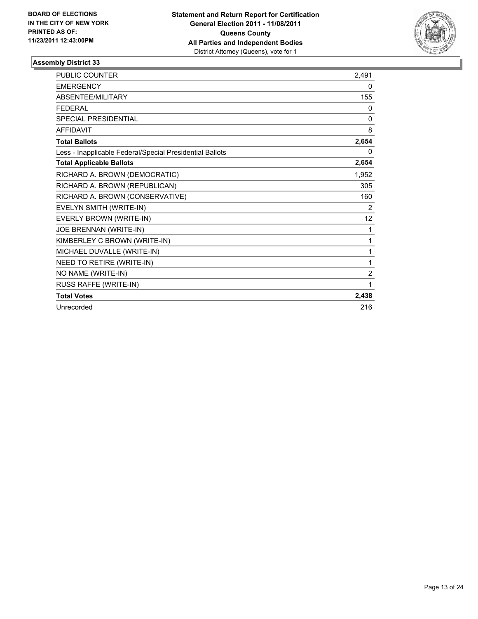

| <b>PUBLIC COUNTER</b>                                    | 2.491          |
|----------------------------------------------------------|----------------|
| <b>EMERGENCY</b>                                         | 0              |
| ABSENTEE/MILITARY                                        | 155            |
| <b>FEDERAL</b>                                           | 0              |
| <b>SPECIAL PRESIDENTIAL</b>                              | 0              |
| <b>AFFIDAVIT</b>                                         | 8              |
| <b>Total Ballots</b>                                     | 2,654          |
| Less - Inapplicable Federal/Special Presidential Ballots | 0              |
| <b>Total Applicable Ballots</b>                          | 2,654          |
| RICHARD A. BROWN (DEMOCRATIC)                            | 1,952          |
| RICHARD A. BROWN (REPUBLICAN)                            | 305            |
| RICHARD A. BROWN (CONSERVATIVE)                          | 160            |
| EVELYN SMITH (WRITE-IN)                                  | 2              |
| EVERLY BROWN (WRITE-IN)                                  | 12             |
| JOE BRENNAN (WRITE-IN)                                   | 1              |
| KIMBERLEY C BROWN (WRITE-IN)                             | 1              |
| MICHAEL DUVALLE (WRITE-IN)                               | 1              |
| NEED TO RETIRE (WRITE-IN)                                | 1              |
| NO NAME (WRITE-IN)                                       | $\overline{c}$ |
| RUSS RAFFE (WRITE-IN)                                    | 1              |
| <b>Total Votes</b>                                       | 2,438          |
| Unrecorded                                               | 216            |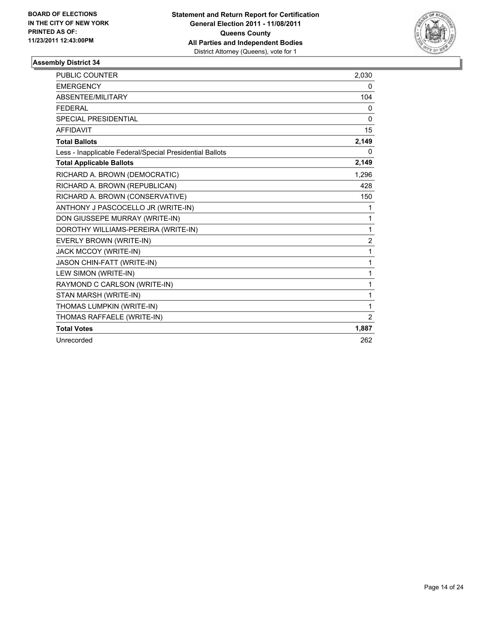

| <b>PUBLIC COUNTER</b>                                    | 2,030 |
|----------------------------------------------------------|-------|
| <b>EMERGENCY</b>                                         | 0     |
| ABSENTEE/MILITARY                                        | 104   |
| <b>FEDERAL</b>                                           | 0     |
| <b>SPECIAL PRESIDENTIAL</b>                              | 0     |
| <b>AFFIDAVIT</b>                                         | 15    |
| <b>Total Ballots</b>                                     | 2,149 |
| Less - Inapplicable Federal/Special Presidential Ballots | 0     |
| <b>Total Applicable Ballots</b>                          | 2,149 |
| RICHARD A. BROWN (DEMOCRATIC)                            | 1,296 |
| RICHARD A. BROWN (REPUBLICAN)                            | 428   |
| RICHARD A. BROWN (CONSERVATIVE)                          | 150   |
| ANTHONY J PASCOCELLO JR (WRITE-IN)                       | 1     |
| DON GIUSSEPE MURRAY (WRITE-IN)                           | 1     |
| DOROTHY WILLIAMS-PEREIRA (WRITE-IN)                      | 1     |
| EVERLY BROWN (WRITE-IN)                                  | 2     |
| JACK MCCOY (WRITE-IN)                                    | 1     |
| JASON CHIN-FATT (WRITE-IN)                               | 1     |
| LEW SIMON (WRITE-IN)                                     | 1     |
| RAYMOND C CARLSON (WRITE-IN)                             | 1     |
| STAN MARSH (WRITE-IN)                                    | 1     |
| THOMAS LUMPKIN (WRITE-IN)                                | 1     |
| THOMAS RAFFAELE (WRITE-IN)                               | 2     |
| <b>Total Votes</b>                                       | 1,887 |
| Unrecorded                                               | 262   |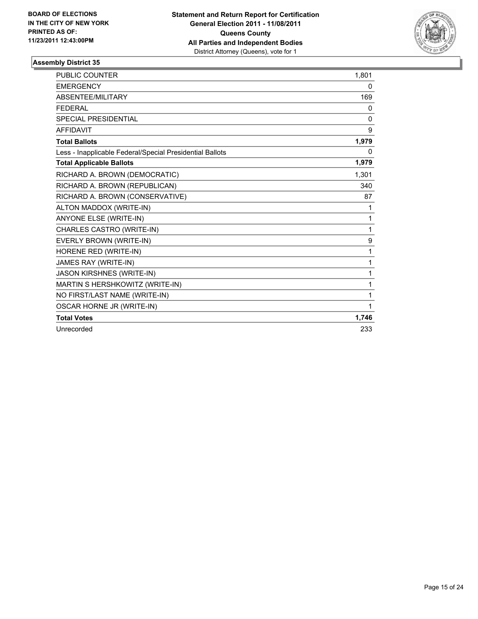

| <b>PUBLIC COUNTER</b>                                    | 1,801 |
|----------------------------------------------------------|-------|
| <b>EMERGENCY</b>                                         | 0     |
| ABSENTEE/MILITARY                                        | 169   |
| <b>FEDERAL</b>                                           | 0     |
| <b>SPECIAL PRESIDENTIAL</b>                              | 0     |
| <b>AFFIDAVIT</b>                                         | 9     |
| <b>Total Ballots</b>                                     | 1,979 |
| Less - Inapplicable Federal/Special Presidential Ballots | 0     |
| <b>Total Applicable Ballots</b>                          | 1,979 |
| RICHARD A. BROWN (DEMOCRATIC)                            | 1,301 |
| RICHARD A. BROWN (REPUBLICAN)                            | 340   |
| RICHARD A. BROWN (CONSERVATIVE)                          | 87    |
| ALTON MADDOX (WRITE-IN)                                  | 1     |
| <b>ANYONE ELSE (WRITE-IN)</b>                            | 1     |
| CHARLES CASTRO (WRITE-IN)                                | 1     |
| EVERLY BROWN (WRITE-IN)                                  | 9     |
| HORENE RED (WRITE-IN)                                    | 1     |
| JAMES RAY (WRITE-IN)                                     | 1     |
| <b>JASON KIRSHNES (WRITE-IN)</b>                         | 1     |
| MARTIN S HERSHKOWITZ (WRITE-IN)                          | 1     |
| NO FIRST/LAST NAME (WRITE-IN)                            | 1     |
| OSCAR HORNE JR (WRITE-IN)                                | 1     |
| <b>Total Votes</b>                                       | 1,746 |
| Unrecorded                                               | 233   |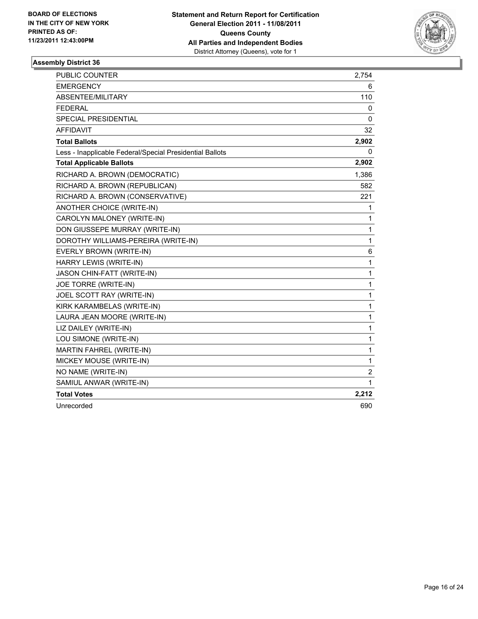

| PUBLIC COUNTER                                           | 2,754        |
|----------------------------------------------------------|--------------|
| <b>EMERGENCY</b>                                         | 6            |
| ABSENTEE/MILITARY                                        | 110          |
| <b>FEDERAL</b>                                           | 0            |
| <b>SPECIAL PRESIDENTIAL</b>                              | 0            |
| <b>AFFIDAVIT</b>                                         | 32           |
| <b>Total Ballots</b>                                     | 2,902        |
| Less - Inapplicable Federal/Special Presidential Ballots | 0            |
| <b>Total Applicable Ballots</b>                          | 2,902        |
| RICHARD A. BROWN (DEMOCRATIC)                            | 1,386        |
| RICHARD A. BROWN (REPUBLICAN)                            | 582          |
| RICHARD A. BROWN (CONSERVATIVE)                          | 221          |
| ANOTHER CHOICE (WRITE-IN)                                | 1            |
| CAROLYN MALONEY (WRITE-IN)                               | 1            |
| DON GIUSSEPE MURRAY (WRITE-IN)                           | $\mathbf{1}$ |
| DOROTHY WILLIAMS-PEREIRA (WRITE-IN)                      | 1            |
| EVERLY BROWN (WRITE-IN)                                  | 6            |
| HARRY LEWIS (WRITE-IN)                                   | $\mathbf{1}$ |
| JASON CHIN-FATT (WRITE-IN)                               | $\mathbf{1}$ |
| JOE TORRE (WRITE-IN)                                     | $\mathbf 1$  |
| JOEL SCOTT RAY (WRITE-IN)                                | $\mathbf{1}$ |
| KIRK KARAMBELAS (WRITE-IN)                               | 1            |
| LAURA JEAN MOORE (WRITE-IN)                              | $\mathbf{1}$ |
| LIZ DAILEY (WRITE-IN)                                    | $\mathbf{1}$ |
| LOU SIMONE (WRITE-IN)                                    | $\mathbf 1$  |
| MARTIN FAHREL (WRITE-IN)                                 | $\mathbf{1}$ |
| MICKEY MOUSE (WRITE-IN)                                  | 1            |
| NO NAME (WRITE-IN)                                       | 2            |
| SAMIUL ANWAR (WRITE-IN)                                  | 1            |
| <b>Total Votes</b>                                       | 2,212        |
| Unrecorded                                               | 690          |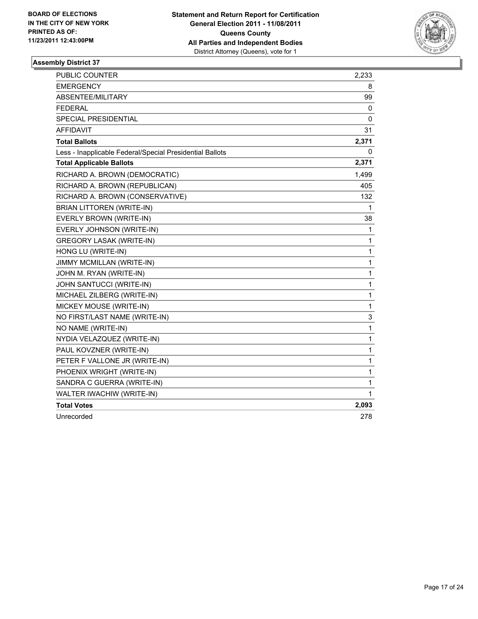

| <b>PUBLIC COUNTER</b>                                    | 2,233        |
|----------------------------------------------------------|--------------|
| <b>EMERGENCY</b>                                         | 8            |
| ABSENTEE/MILITARY                                        | 99           |
| <b>FEDERAL</b>                                           | 0            |
| <b>SPECIAL PRESIDENTIAL</b>                              | 0            |
| <b>AFFIDAVIT</b>                                         | 31           |
| <b>Total Ballots</b>                                     | 2,371        |
| Less - Inapplicable Federal/Special Presidential Ballots | 0            |
| <b>Total Applicable Ballots</b>                          | 2,371        |
| RICHARD A. BROWN (DEMOCRATIC)                            | 1,499        |
| RICHARD A. BROWN (REPUBLICAN)                            | 405          |
| RICHARD A. BROWN (CONSERVATIVE)                          | 132          |
| <b>BRIAN LITTOREN (WRITE-IN)</b>                         | 1            |
| EVERLY BROWN (WRITE-IN)                                  | 38           |
| EVERLY JOHNSON (WRITE-IN)                                | 1            |
| <b>GREGORY LASAK (WRITE-IN)</b>                          | $\mathbf 1$  |
| HONG LU (WRITE-IN)                                       | $\mathbf{1}$ |
| JIMMY MCMILLAN (WRITE-IN)                                | $\mathbf{1}$ |
| JOHN M. RYAN (WRITE-IN)                                  | $\mathbf{1}$ |
| JOHN SANTUCCI (WRITE-IN)                                 | 1            |
| MICHAEL ZILBERG (WRITE-IN)                               | 1            |
| MICKEY MOUSE (WRITE-IN)                                  | $\mathbf 1$  |
| NO FIRST/LAST NAME (WRITE-IN)                            | 3            |
| NO NAME (WRITE-IN)                                       | 1            |
| NYDIA VELAZQUEZ (WRITE-IN)                               | $\mathbf{1}$ |
| PAUL KOVZNER (WRITE-IN)                                  | $\mathbf 1$  |
| PETER F VALLONE JR (WRITE-IN)                            | 1            |
| PHOENIX WRIGHT (WRITE-IN)                                | 1            |
| SANDRA C GUERRA (WRITE-IN)                               | $\mathbf{1}$ |
| WALTER IWACHIW (WRITE-IN)                                | 1            |
| <b>Total Votes</b>                                       | 2,093        |
| Unrecorded                                               | 278          |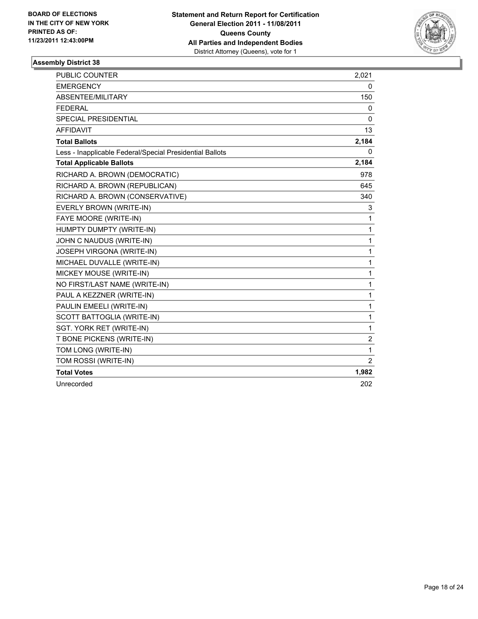

| <b>PUBLIC COUNTER</b>                                    | 2,021 |
|----------------------------------------------------------|-------|
| <b>EMERGENCY</b>                                         | 0     |
| ABSENTEE/MILITARY                                        | 150   |
| <b>FEDERAL</b>                                           | 0     |
| <b>SPECIAL PRESIDENTIAL</b>                              | 0     |
| <b>AFFIDAVIT</b>                                         | 13    |
| <b>Total Ballots</b>                                     | 2,184 |
| Less - Inapplicable Federal/Special Presidential Ballots | 0     |
| <b>Total Applicable Ballots</b>                          | 2,184 |
| RICHARD A. BROWN (DEMOCRATIC)                            | 978   |
| RICHARD A. BROWN (REPUBLICAN)                            | 645   |
| RICHARD A. BROWN (CONSERVATIVE)                          | 340   |
| EVERLY BROWN (WRITE-IN)                                  | 3     |
| FAYE MOORE (WRITE-IN)                                    | 1     |
| HUMPTY DUMPTY (WRITE-IN)                                 | 1     |
| JOHN C NAUDUS (WRITE-IN)                                 | 1     |
| JOSEPH VIRGONA (WRITE-IN)                                | 1     |
| MICHAEL DUVALLE (WRITE-IN)                               | 1     |
| MICKEY MOUSE (WRITE-IN)                                  | 1     |
| NO FIRST/LAST NAME (WRITE-IN)                            | 1     |
| PAUL A KEZZNER (WRITE-IN)                                | 1     |
| PAULIN EMEELI (WRITE-IN)                                 | 1     |
| SCOTT BATTOGLIA (WRITE-IN)                               | 1     |
| SGT. YORK RET (WRITE-IN)                                 | 1     |
| T BONE PICKENS (WRITE-IN)                                | 2     |
| TOM LONG (WRITE-IN)                                      | 1     |
| TOM ROSSI (WRITE-IN)                                     | 2     |
| <b>Total Votes</b>                                       | 1,982 |
| Unrecorded                                               | 202   |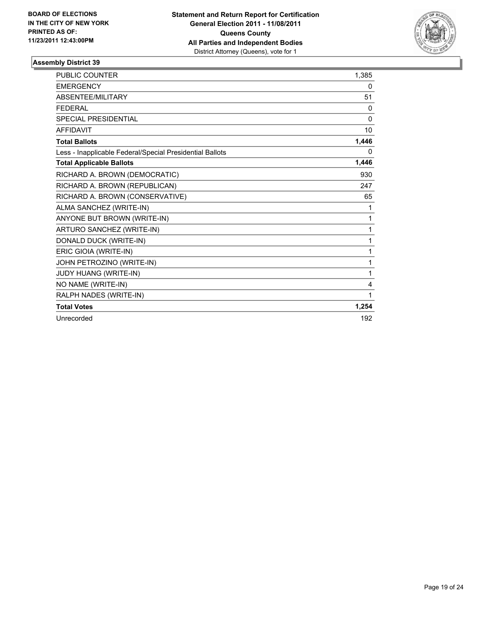

| <b>PUBLIC COUNTER</b>                                    | 1,385    |
|----------------------------------------------------------|----------|
| <b>EMERGENCY</b>                                         | 0        |
| ABSENTEE/MILITARY                                        | 51       |
| <b>FEDERAL</b>                                           | 0        |
| <b>SPECIAL PRESIDENTIAL</b>                              | $\Omega$ |
| <b>AFFIDAVIT</b>                                         | 10       |
| <b>Total Ballots</b>                                     | 1,446    |
| Less - Inapplicable Federal/Special Presidential Ballots | 0        |
| <b>Total Applicable Ballots</b>                          | 1,446    |
| RICHARD A. BROWN (DEMOCRATIC)                            | 930      |
| RICHARD A. BROWN (REPUBLICAN)                            | 247      |
| RICHARD A. BROWN (CONSERVATIVE)                          | 65       |
| ALMA SANCHEZ (WRITE-IN)                                  | 1        |
| ANYONE BUT BROWN (WRITE-IN)                              | 1        |
| ARTURO SANCHEZ (WRITE-IN)                                | 1        |
| DONALD DUCK (WRITE-IN)                                   | 1        |
| ERIC GIOIA (WRITE-IN)                                    | 1        |
| JOHN PETROZINO (WRITE-IN)                                | 1        |
| JUDY HUANG (WRITE-IN)                                    | 1        |
| NO NAME (WRITE-IN)                                       | 4        |
| RALPH NADES (WRITE-IN)                                   | 1        |
| <b>Total Votes</b>                                       | 1,254    |
| Unrecorded                                               | 192      |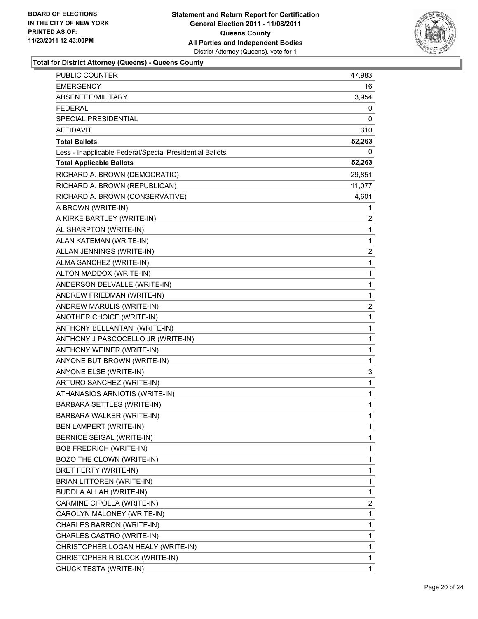

| PUBLIC COUNTER                                           | 47,983 |
|----------------------------------------------------------|--------|
| EMERGENCY                                                | 16     |
| ABSENTEE/MILITARY                                        | 3,954  |
| FEDERAL                                                  | 0      |
| SPECIAL PRESIDENTIAL                                     | 0      |
| <b>AFFIDAVIT</b>                                         | 310    |
| <b>Total Ballots</b>                                     | 52,263 |
| Less - Inapplicable Federal/Special Presidential Ballots | 0      |
| <b>Total Applicable Ballots</b>                          | 52,263 |
| RICHARD A. BROWN (DEMOCRATIC)                            | 29,851 |
| RICHARD A. BROWN (REPUBLICAN)                            | 11,077 |
| RICHARD A. BROWN (CONSERVATIVE)                          | 4,601  |
| A BROWN (WRITE-IN)                                       | 1      |
| A KIRKE BARTLEY (WRITE-IN)                               | 2      |
| AL SHARPTON (WRITE-IN)                                   | 1      |
| ALAN KATEMAN (WRITE-IN)                                  | 1      |
| ALLAN JENNINGS (WRITE-IN)                                | 2      |
| ALMA SANCHEZ (WRITE-IN)                                  | 1      |
| ALTON MADDOX (WRITE-IN)                                  | 1      |
| ANDERSON DELVALLE (WRITE-IN)                             | 1      |
| ANDREW FRIEDMAN (WRITE-IN)                               | 1      |
| ANDREW MARULIS (WRITE-IN)                                | 2      |
| ANOTHER CHOICE (WRITE-IN)                                | 1      |
| ANTHONY BELLANTANI (WRITE-IN)                            | 1      |
| ANTHONY J PASCOCELLO JR (WRITE-IN)                       | 1      |
| ANTHONY WEINER (WRITE-IN)                                | 1      |
| ANYONE BUT BROWN (WRITE-IN)                              | 1      |
| <b>ANYONE ELSE (WRITE-IN)</b>                            | 3      |
| ARTURO SANCHEZ (WRITE-IN)                                | 1      |
| ATHANASIOS ARNIOTIS (WRITE-IN)                           | 1      |
| BARBARA SETTLES (WRITE-IN)                               | 1      |
| BARBARA WALKER (WRITE-IN)                                | 1      |
| <b>BEN LAMPERT (WRITE-IN)</b>                            | 1      |
| <b>BERNICE SEIGAL (WRITE-IN)</b>                         | 1      |
| <b>BOB FREDRICH (WRITE-IN)</b>                           | 1      |
| BOZO THE CLOWN (WRITE-IN)                                | 1      |
| BRET FERTY (WRITE-IN)                                    | 1      |
| <b>BRIAN LITTOREN (WRITE-IN)</b>                         | 1      |
| BUDDLA ALLAH (WRITE-IN)                                  | 1      |
| CARMINE CIPOLLA (WRITE-IN)                               | 2      |
| CAROLYN MALONEY (WRITE-IN)                               | 1      |
| CHARLES BARRON (WRITE-IN)                                | 1      |
| CHARLES CASTRO (WRITE-IN)                                | 1      |
| CHRISTOPHER LOGAN HEALY (WRITE-IN)                       | 1      |
| CHRISTOPHER R BLOCK (WRITE-IN)                           | 1      |
| CHUCK TESTA (WRITE-IN)                                   | 1      |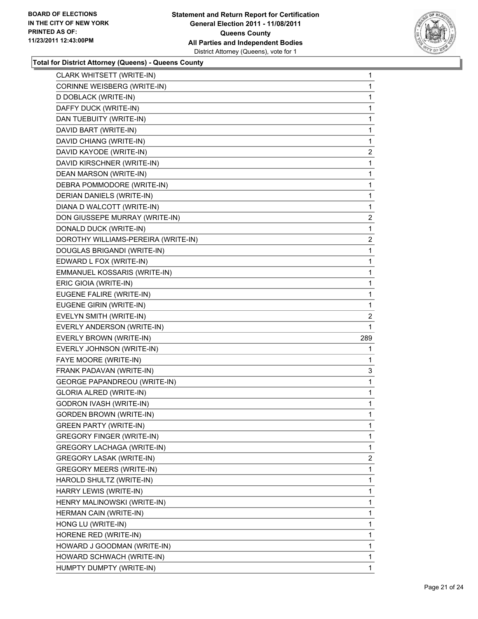

| CLARK WHITSETT (WRITE-IN)           | 1              |
|-------------------------------------|----------------|
| CORINNE WEISBERG (WRITE-IN)         | 1              |
| D DOBLACK (WRITE-IN)                | 1              |
| DAFFY DUCK (WRITE-IN)               | 1              |
| DAN TUEBUITY (WRITE-IN)             | 1              |
| DAVID BART (WRITE-IN)               | 1              |
| DAVID CHIANG (WRITE-IN)             | 1              |
| DAVID KAYODE (WRITE-IN)             | 2              |
| DAVID KIRSCHNER (WRITE-IN)          | 1              |
| DEAN MARSON (WRITE-IN)              | 1              |
| DEBRA POMMODORE (WRITE-IN)          | 1              |
| DERIAN DANIELS (WRITE-IN)           | 1              |
| DIANA D WALCOTT (WRITE-IN)          | 1              |
| DON GIUSSEPE MURRAY (WRITE-IN)      | 2              |
| DONALD DUCK (WRITE-IN)              | 1              |
| DOROTHY WILLIAMS-PEREIRA (WRITE-IN) | 2              |
| DOUGLAS BRIGANDI (WRITE-IN)         | 1              |
| EDWARD L FOX (WRITE-IN)             | 1              |
| EMMANUEL KOSSARIS (WRITE-IN)        | 1              |
| ERIC GIOIA (WRITE-IN)               | 1              |
| EUGENE FALIRE (WRITE-IN)            | 1              |
| EUGENE GIRIN (WRITE-IN)             | 1              |
| EVELYN SMITH (WRITE-IN)             | 2              |
| EVERLY ANDERSON (WRITE-IN)          | 1              |
| EVERLY BROWN (WRITE-IN)             | 289            |
| EVERLY JOHNSON (WRITE-IN)           | 1              |
| FAYE MOORE (WRITE-IN)               | 1              |
| FRANK PADAVAN (WRITE-IN)            | 3              |
| <b>GEORGE PAPANDREOU (WRITE-IN)</b> | 1              |
| GLORIA ALRED (WRITE-IN)             | 1              |
| <b>GODRON IVASH (WRITE-IN)</b>      | 1              |
| <b>GORDEN BROWN (WRITE-IN)</b>      | 1              |
| <b>GREEN PARTY (WRITE-IN)</b>       | 1              |
| GREGORY FINGER (WRITE-IN)           | 1              |
| <b>GREGORY LACHAGA (WRITE-IN)</b>   | 1              |
| <b>GREGORY LASAK (WRITE-IN)</b>     | $\overline{2}$ |
| GREGORY MEERS (WRITE-IN)            | 1              |
| HAROLD SHULTZ (WRITE-IN)            | 1              |
| HARRY LEWIS (WRITE-IN)              | 1              |
| HENRY MALINOWSKI (WRITE-IN)         | 1              |
| HERMAN CAIN (WRITE-IN)              | 1              |
| HONG LU (WRITE-IN)                  | 1              |
| HORENE RED (WRITE-IN)               | 1              |
| HOWARD J GOODMAN (WRITE-IN)         | 1              |
| HOWARD SCHWACH (WRITE-IN)           | 1              |
| HUMPTY DUMPTY (WRITE-IN)            | $\mathbf{1}$   |
|                                     |                |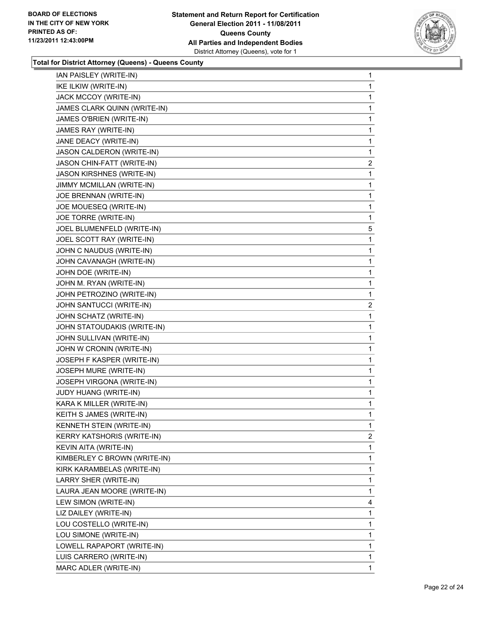

| IAN PAISLEY (WRITE-IN)           | $\mathbf{1}$   |
|----------------------------------|----------------|
|                                  |                |
| IKE ILKIW (WRITE-IN)             | $\mathbf{1}$   |
| JACK MCCOY (WRITE-IN)            | 1              |
| JAMES CLARK QUINN (WRITE-IN)     | 1              |
| JAMES O'BRIEN (WRITE-IN)         | 1              |
| JAMES RAY (WRITE-IN)             | 1              |
| JANE DEACY (WRITE-IN)            | 1              |
| JASON CALDERON (WRITE-IN)        | 1              |
| JASON CHIN-FATT (WRITE-IN)       | $\overline{c}$ |
| <b>JASON KIRSHNES (WRITE-IN)</b> | 1              |
| JIMMY MCMILLAN (WRITE-IN)        | 1              |
| JOE BRENNAN (WRITE-IN)           | 1              |
| JOE MOUESEQ (WRITE-IN)           | 1              |
| JOE TORRE (WRITE-IN)             | 1              |
| JOEL BLUMENFELD (WRITE-IN)       | 5              |
| JOEL SCOTT RAY (WRITE-IN)        | 1              |
| JOHN C NAUDUS (WRITE-IN)         | 1              |
| JOHN CAVANAGH (WRITE-IN)         | 1              |
| JOHN DOE (WRITE-IN)              | 1              |
| JOHN M. RYAN (WRITE-IN)          | 1              |
| JOHN PETROZINO (WRITE-IN)        | 1              |
| JOHN SANTUCCI (WRITE-IN)         | 2              |
| JOHN SCHATZ (WRITE-IN)           | 1              |
| JOHN STATOUDAKIS (WRITE-IN)      | 1              |
| JOHN SULLIVAN (WRITE-IN)         | 1              |
| JOHN W CRONIN (WRITE-IN)         | 1              |
| JOSEPH F KASPER (WRITE-IN)       | 1              |
| JOSEPH MURE (WRITE-IN)           | 1              |
| JOSEPH VIRGONA (WRITE-IN)        | 1              |
| JUDY HUANG (WRITE-IN)            | 1              |
| KARA K MILLER (WRITE-IN)         | 1              |
| KEITH S JAMES (WRITE-IN)         | 1              |
| KENNETH STEIN (WRITE-IN)         | 1              |
| KERRY KATSHORIS (WRITE-IN)       | 2              |
| KEVIN AITA (WRITE-IN)            | 1              |
| KIMBERLEY C BROWN (WRITE-IN)     | 1              |
| KIRK KARAMBELAS (WRITE-IN)       | 1              |
| LARRY SHER (WRITE-IN)            | 1              |
| LAURA JEAN MOORE (WRITE-IN)      | 1              |
| LEW SIMON (WRITE-IN)             | 4              |
| LIZ DAILEY (WRITE-IN)            | 1              |
| LOU COSTELLO (WRITE-IN)          | 1              |
| LOU SIMONE (WRITE-IN)            | 1              |
| LOWELL RAPAPORT (WRITE-IN)       | 1              |
| LUIS CARRERO (WRITE-IN)          | 1              |
| MARC ADLER (WRITE-IN)            | 1.             |
|                                  |                |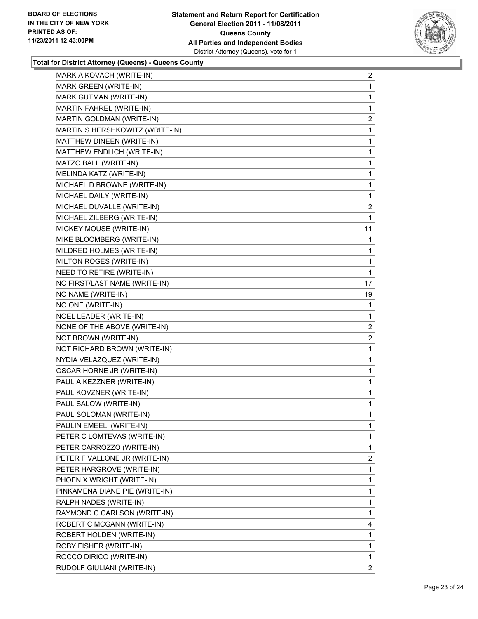

| MARK A KOVACH (WRITE-IN)<br>MARK GREEN (WRITE-IN)<br>MARK GUTMAN (WRITE-IN)<br>MARTIN FAHREL (WRITE-IN)<br>MARTIN GOLDMAN (WRITE-IN)<br>MARTIN S HERSHKOWITZ (WRITE-IN)<br>MATTHEW DINEEN (WRITE-IN)<br>MATTHEW ENDLICH (WRITE-IN)<br>MATZO BALL (WRITE-IN)<br>MELINDA KATZ (WRITE-IN)<br>MICHAEL D BROWNE (WRITE-IN)<br>MICHAEL DAILY (WRITE-IN)<br>MICHAEL DUVALLE (WRITE-IN)<br>MICHAEL ZILBERG (WRITE-IN)<br>MICKEY MOUSE (WRITE-IN)<br>MIKE BLOOMBERG (WRITE-IN)<br>MILDRED HOLMES (WRITE-IN)<br>MILTON ROGES (WRITE-IN)<br>NEED TO RETIRE (WRITE-IN)<br>NO FIRST/LAST NAME (WRITE-IN)<br>NO NAME (WRITE-IN)<br>NO ONE (WRITE-IN)<br>NOEL LEADER (WRITE-IN)<br>NONE OF THE ABOVE (WRITE-IN)<br>NOT BROWN (WRITE-IN)<br>NOT RICHARD BROWN (WRITE-IN)<br>NYDIA VELAZQUEZ (WRITE-IN)<br>OSCAR HORNE JR (WRITE-IN)<br>PAUL A KEZZNER (WRITE-IN)<br>PAUL KOVZNER (WRITE-IN)<br>PAUL SALOW (WRITE-IN)<br>PAUL SOLOMAN (WRITE-IN)<br>PAULIN EMEELI (WRITE-IN)<br>PETER C LOMTEVAS (WRITE-IN)<br>PETER CARROZZO (WRITE-IN)<br>PETER F VALLONE JR (WRITE-IN)<br>PETER HARGROVE (WRITE-IN)<br>PHOENIX WRIGHT (WRITE-IN)<br>PINKAMENA DIANE PIE (WRITE-IN)<br>RALPH NADES (WRITE-IN)<br>RAYMOND C CARLSON (WRITE-IN)<br>ROBERT C MCGANN (WRITE-IN)<br>ROBERT HOLDEN (WRITE-IN)<br>ROBY FISHER (WRITE-IN)<br>ROCCO DIRICO (WRITE-IN) |                            |                |
|-------------------------------------------------------------------------------------------------------------------------------------------------------------------------------------------------------------------------------------------------------------------------------------------------------------------------------------------------------------------------------------------------------------------------------------------------------------------------------------------------------------------------------------------------------------------------------------------------------------------------------------------------------------------------------------------------------------------------------------------------------------------------------------------------------------------------------------------------------------------------------------------------------------------------------------------------------------------------------------------------------------------------------------------------------------------------------------------------------------------------------------------------------------------------------------------------------------------------------------------------------------------------------------------------------------------------------|----------------------------|----------------|
|                                                                                                                                                                                                                                                                                                                                                                                                                                                                                                                                                                                                                                                                                                                                                                                                                                                                                                                                                                                                                                                                                                                                                                                                                                                                                                                               |                            | $\overline{2}$ |
|                                                                                                                                                                                                                                                                                                                                                                                                                                                                                                                                                                                                                                                                                                                                                                                                                                                                                                                                                                                                                                                                                                                                                                                                                                                                                                                               |                            | 1              |
|                                                                                                                                                                                                                                                                                                                                                                                                                                                                                                                                                                                                                                                                                                                                                                                                                                                                                                                                                                                                                                                                                                                                                                                                                                                                                                                               |                            | $\mathbf{1}$   |
|                                                                                                                                                                                                                                                                                                                                                                                                                                                                                                                                                                                                                                                                                                                                                                                                                                                                                                                                                                                                                                                                                                                                                                                                                                                                                                                               |                            | 1              |
|                                                                                                                                                                                                                                                                                                                                                                                                                                                                                                                                                                                                                                                                                                                                                                                                                                                                                                                                                                                                                                                                                                                                                                                                                                                                                                                               |                            | $\overline{2}$ |
|                                                                                                                                                                                                                                                                                                                                                                                                                                                                                                                                                                                                                                                                                                                                                                                                                                                                                                                                                                                                                                                                                                                                                                                                                                                                                                                               |                            | 1              |
|                                                                                                                                                                                                                                                                                                                                                                                                                                                                                                                                                                                                                                                                                                                                                                                                                                                                                                                                                                                                                                                                                                                                                                                                                                                                                                                               |                            | 1              |
|                                                                                                                                                                                                                                                                                                                                                                                                                                                                                                                                                                                                                                                                                                                                                                                                                                                                                                                                                                                                                                                                                                                                                                                                                                                                                                                               |                            | 1              |
|                                                                                                                                                                                                                                                                                                                                                                                                                                                                                                                                                                                                                                                                                                                                                                                                                                                                                                                                                                                                                                                                                                                                                                                                                                                                                                                               |                            | 1              |
|                                                                                                                                                                                                                                                                                                                                                                                                                                                                                                                                                                                                                                                                                                                                                                                                                                                                                                                                                                                                                                                                                                                                                                                                                                                                                                                               |                            | 1              |
|                                                                                                                                                                                                                                                                                                                                                                                                                                                                                                                                                                                                                                                                                                                                                                                                                                                                                                                                                                                                                                                                                                                                                                                                                                                                                                                               |                            | 1              |
|                                                                                                                                                                                                                                                                                                                                                                                                                                                                                                                                                                                                                                                                                                                                                                                                                                                                                                                                                                                                                                                                                                                                                                                                                                                                                                                               |                            | 1              |
|                                                                                                                                                                                                                                                                                                                                                                                                                                                                                                                                                                                                                                                                                                                                                                                                                                                                                                                                                                                                                                                                                                                                                                                                                                                                                                                               |                            | 2              |
|                                                                                                                                                                                                                                                                                                                                                                                                                                                                                                                                                                                                                                                                                                                                                                                                                                                                                                                                                                                                                                                                                                                                                                                                                                                                                                                               |                            | 1              |
|                                                                                                                                                                                                                                                                                                                                                                                                                                                                                                                                                                                                                                                                                                                                                                                                                                                                                                                                                                                                                                                                                                                                                                                                                                                                                                                               |                            | 11             |
|                                                                                                                                                                                                                                                                                                                                                                                                                                                                                                                                                                                                                                                                                                                                                                                                                                                                                                                                                                                                                                                                                                                                                                                                                                                                                                                               |                            | 1              |
|                                                                                                                                                                                                                                                                                                                                                                                                                                                                                                                                                                                                                                                                                                                                                                                                                                                                                                                                                                                                                                                                                                                                                                                                                                                                                                                               |                            | 1              |
|                                                                                                                                                                                                                                                                                                                                                                                                                                                                                                                                                                                                                                                                                                                                                                                                                                                                                                                                                                                                                                                                                                                                                                                                                                                                                                                               |                            | 1              |
|                                                                                                                                                                                                                                                                                                                                                                                                                                                                                                                                                                                                                                                                                                                                                                                                                                                                                                                                                                                                                                                                                                                                                                                                                                                                                                                               |                            | 1              |
|                                                                                                                                                                                                                                                                                                                                                                                                                                                                                                                                                                                                                                                                                                                                                                                                                                                                                                                                                                                                                                                                                                                                                                                                                                                                                                                               |                            | 17             |
|                                                                                                                                                                                                                                                                                                                                                                                                                                                                                                                                                                                                                                                                                                                                                                                                                                                                                                                                                                                                                                                                                                                                                                                                                                                                                                                               |                            | 19             |
|                                                                                                                                                                                                                                                                                                                                                                                                                                                                                                                                                                                                                                                                                                                                                                                                                                                                                                                                                                                                                                                                                                                                                                                                                                                                                                                               |                            | 1              |
|                                                                                                                                                                                                                                                                                                                                                                                                                                                                                                                                                                                                                                                                                                                                                                                                                                                                                                                                                                                                                                                                                                                                                                                                                                                                                                                               |                            | 1              |
|                                                                                                                                                                                                                                                                                                                                                                                                                                                                                                                                                                                                                                                                                                                                                                                                                                                                                                                                                                                                                                                                                                                                                                                                                                                                                                                               |                            | 2              |
|                                                                                                                                                                                                                                                                                                                                                                                                                                                                                                                                                                                                                                                                                                                                                                                                                                                                                                                                                                                                                                                                                                                                                                                                                                                                                                                               |                            | 2              |
|                                                                                                                                                                                                                                                                                                                                                                                                                                                                                                                                                                                                                                                                                                                                                                                                                                                                                                                                                                                                                                                                                                                                                                                                                                                                                                                               |                            | 1              |
|                                                                                                                                                                                                                                                                                                                                                                                                                                                                                                                                                                                                                                                                                                                                                                                                                                                                                                                                                                                                                                                                                                                                                                                                                                                                                                                               |                            | $\mathbf 1$    |
|                                                                                                                                                                                                                                                                                                                                                                                                                                                                                                                                                                                                                                                                                                                                                                                                                                                                                                                                                                                                                                                                                                                                                                                                                                                                                                                               |                            | 1              |
|                                                                                                                                                                                                                                                                                                                                                                                                                                                                                                                                                                                                                                                                                                                                                                                                                                                                                                                                                                                                                                                                                                                                                                                                                                                                                                                               |                            | 1              |
|                                                                                                                                                                                                                                                                                                                                                                                                                                                                                                                                                                                                                                                                                                                                                                                                                                                                                                                                                                                                                                                                                                                                                                                                                                                                                                                               |                            | $\mathbf 1$    |
|                                                                                                                                                                                                                                                                                                                                                                                                                                                                                                                                                                                                                                                                                                                                                                                                                                                                                                                                                                                                                                                                                                                                                                                                                                                                                                                               |                            | 1              |
|                                                                                                                                                                                                                                                                                                                                                                                                                                                                                                                                                                                                                                                                                                                                                                                                                                                                                                                                                                                                                                                                                                                                                                                                                                                                                                                               |                            | 1              |
|                                                                                                                                                                                                                                                                                                                                                                                                                                                                                                                                                                                                                                                                                                                                                                                                                                                                                                                                                                                                                                                                                                                                                                                                                                                                                                                               |                            | 1              |
|                                                                                                                                                                                                                                                                                                                                                                                                                                                                                                                                                                                                                                                                                                                                                                                                                                                                                                                                                                                                                                                                                                                                                                                                                                                                                                                               |                            | 1              |
|                                                                                                                                                                                                                                                                                                                                                                                                                                                                                                                                                                                                                                                                                                                                                                                                                                                                                                                                                                                                                                                                                                                                                                                                                                                                                                                               |                            | 1              |
|                                                                                                                                                                                                                                                                                                                                                                                                                                                                                                                                                                                                                                                                                                                                                                                                                                                                                                                                                                                                                                                                                                                                                                                                                                                                                                                               |                            | 2              |
|                                                                                                                                                                                                                                                                                                                                                                                                                                                                                                                                                                                                                                                                                                                                                                                                                                                                                                                                                                                                                                                                                                                                                                                                                                                                                                                               |                            | 1              |
|                                                                                                                                                                                                                                                                                                                                                                                                                                                                                                                                                                                                                                                                                                                                                                                                                                                                                                                                                                                                                                                                                                                                                                                                                                                                                                                               |                            | 1              |
|                                                                                                                                                                                                                                                                                                                                                                                                                                                                                                                                                                                                                                                                                                                                                                                                                                                                                                                                                                                                                                                                                                                                                                                                                                                                                                                               |                            | 1              |
|                                                                                                                                                                                                                                                                                                                                                                                                                                                                                                                                                                                                                                                                                                                                                                                                                                                                                                                                                                                                                                                                                                                                                                                                                                                                                                                               |                            | 1              |
|                                                                                                                                                                                                                                                                                                                                                                                                                                                                                                                                                                                                                                                                                                                                                                                                                                                                                                                                                                                                                                                                                                                                                                                                                                                                                                                               |                            | 1              |
|                                                                                                                                                                                                                                                                                                                                                                                                                                                                                                                                                                                                                                                                                                                                                                                                                                                                                                                                                                                                                                                                                                                                                                                                                                                                                                                               |                            | 4              |
|                                                                                                                                                                                                                                                                                                                                                                                                                                                                                                                                                                                                                                                                                                                                                                                                                                                                                                                                                                                                                                                                                                                                                                                                                                                                                                                               |                            | 1              |
|                                                                                                                                                                                                                                                                                                                                                                                                                                                                                                                                                                                                                                                                                                                                                                                                                                                                                                                                                                                                                                                                                                                                                                                                                                                                                                                               |                            | 1              |
|                                                                                                                                                                                                                                                                                                                                                                                                                                                                                                                                                                                                                                                                                                                                                                                                                                                                                                                                                                                                                                                                                                                                                                                                                                                                                                                               |                            | 1              |
|                                                                                                                                                                                                                                                                                                                                                                                                                                                                                                                                                                                                                                                                                                                                                                                                                                                                                                                                                                                                                                                                                                                                                                                                                                                                                                                               | RUDOLF GIULIANI (WRITE-IN) | $\overline{2}$ |